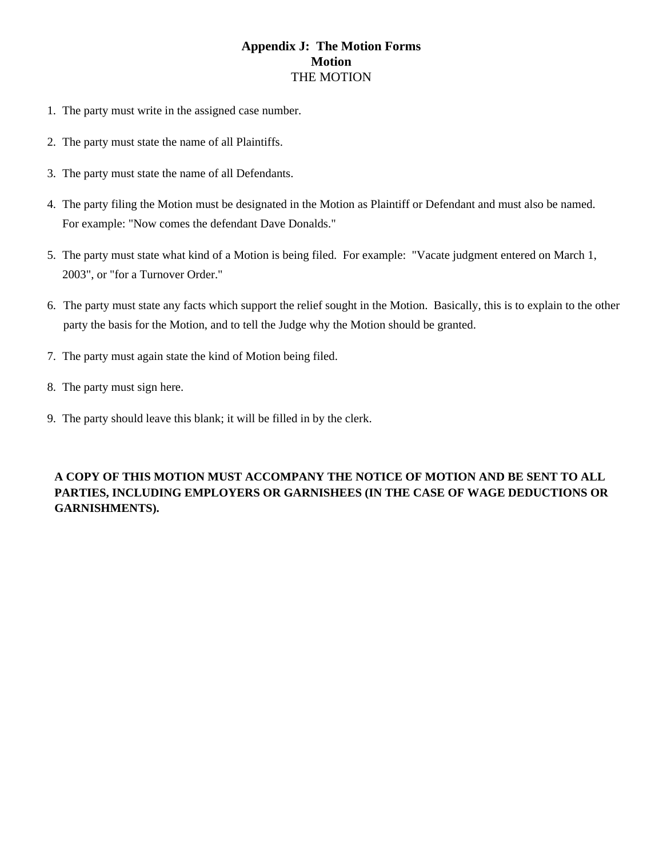## THE MOTION **Appendix J: The Motion Forms Motion**

- 1. The party must write in the assigned case number.
- 2. The party must state the name of all Plaintiffs.
- 3. The party must state the name of all Defendants.
- 4. The party filing the Motion must be designated in the Motion as Plaintiff or Defendant and must also be named. For example: "Now comes the defendant Dave Donalds."
- 5. The party must state what kind of a Motion is being filed. For example: "Vacate judgment entered on March 1, 2003", or "for a Turnover Order."
- 6. The party must state any facts which support the relief sought in the Motion. Basically, this is to explain to the other party the basis for the Motion, and to tell the Judge why the Motion should be granted.
- 7. The party must again state the kind of Motion being filed.
- 8. The party must sign here.
- 9. The party should leave this blank; it will be filled in by the clerk.

## **A COPY OF THIS MOTION MUST ACCOMPANY THE NOTICE OF MOTION AND BE SENT TO ALL PARTIES, INCLUDING EMPLOYERS OR GARNISHEES (IN THE CASE OF WAGE DEDUCTIONS OR GARNISHMENTS).**